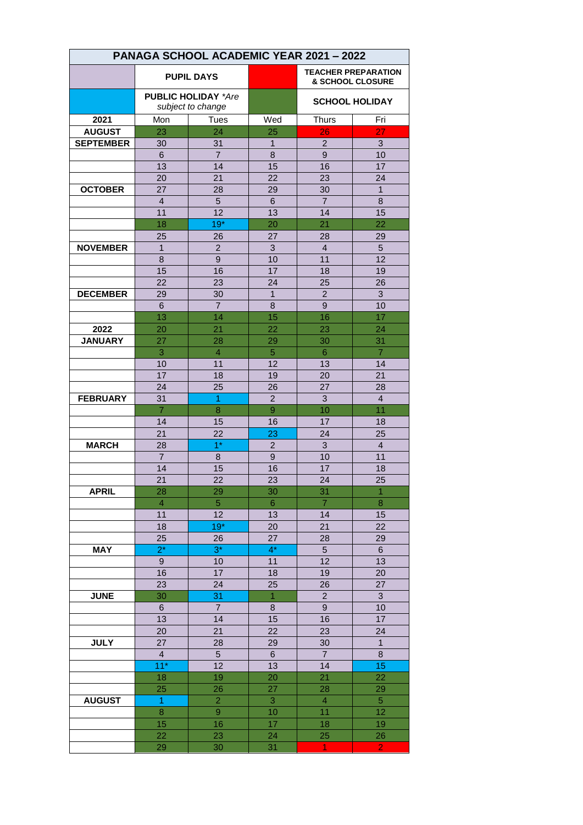| PANAGA SCHOOL ACADEMIC YEAR 2021 - 2022 |                                                 |                                  |                 |                                                           |                      |  |
|-----------------------------------------|-------------------------------------------------|----------------------------------|-----------------|-----------------------------------------------------------|----------------------|--|
|                                         | <b>PUPIL DAYS</b>                               |                                  |                 | <b>TEACHER PREPARATION</b><br><b>&amp; SCHOOL CLOSURE</b> |                      |  |
|                                         | <b>PUBLIC HOLIDAY *Are</b><br>subject to change |                                  |                 | <b>SCHOOL HOLIDAY</b>                                     |                      |  |
| 2021                                    | Mon                                             | Tues                             | Wed             | <b>Thurs</b>                                              | Fri                  |  |
| <b>AUGUST</b>                           | 23                                              | 24                               | 25              | 26                                                        | 27                   |  |
| <b>SEPTEMBER</b>                        | 30                                              | 31                               | 1               | $\overline{c}$                                            | 3                    |  |
|                                         | 6                                               | $\overline{7}$                   | 8               | 9                                                         | 10                   |  |
|                                         | 13                                              | 14                               | 15              | 16                                                        | 17                   |  |
|                                         | 20                                              | 21                               | 22              | 23                                                        | 24                   |  |
| <b>OCTOBER</b>                          | 27                                              | 28                               | 29              | 30                                                        | $\mathbf{1}$         |  |
|                                         | $\overline{4}$                                  | 5                                | 6               | $\overline{7}$                                            | 8                    |  |
|                                         | 11                                              | 12                               | 13              | 14                                                        | 15                   |  |
|                                         | 18                                              | $19*$                            | 20              | 21                                                        | 22                   |  |
|                                         | 25                                              | 26                               | 27              | 28                                                        | 29                   |  |
| <b>NOVEMBER</b>                         | $\mathbf{1}$                                    | $\overline{2}$                   | 3               | $\overline{4}$                                            | 5                    |  |
|                                         | 8                                               | 9                                | 10              | 11                                                        | 12                   |  |
|                                         | 15                                              | 16                               | 17              | 18                                                        | 19                   |  |
|                                         | 22                                              | 23                               | 24              | 25                                                        | 26                   |  |
| <b>DECEMBER</b>                         | 29                                              | 30                               | $\mathbf 1$     | $\overline{2}$                                            | 3                    |  |
|                                         | 6                                               | $\overline{7}$                   | 8               | 9                                                         | 10                   |  |
|                                         | 13                                              | 14                               | 15              | 16                                                        | 17                   |  |
| 2022                                    | 20                                              | 21                               | 22              | 23                                                        | 24                   |  |
| <b>JANUARY</b>                          | 27                                              | 28                               | 29              | 30                                                        | 31                   |  |
|                                         | 3                                               | $\overline{4}$                   | 5               | 6                                                         | $\overline{7}$       |  |
|                                         | 10                                              | 11                               | 12              | 13                                                        | 14                   |  |
|                                         | 17                                              | 18                               | 19              | 20                                                        | 21                   |  |
|                                         | 24                                              | 25                               | 26              | 27                                                        | 28                   |  |
| <b>FEBRUARY</b>                         | 31                                              | $\overline{1}$                   | $\overline{2}$  | 3                                                         | $\overline{4}$       |  |
|                                         | $\overline{7}$                                  | 8                                | 9               | 10                                                        | 11                   |  |
|                                         | 14                                              | 15                               | 16              | 17                                                        | 18                   |  |
|                                         | 21                                              | 22                               | 23              | 24                                                        | 25                   |  |
| <b>MARCH</b>                            | 28                                              | $1*$                             | $\overline{2}$  | 3                                                         | $\overline{4}$       |  |
|                                         | $\overline{7}$                                  | 8                                | 9               | 10                                                        | 11                   |  |
|                                         | 14                                              | 15                               | 16              | 17                                                        | 18                   |  |
|                                         | 21                                              | 22                               | 23              | 24                                                        | 25                   |  |
| <b>APRIL</b>                            | 28                                              | 29                               | 30              | 31                                                        | $\overline{1}$       |  |
|                                         | $\overline{4}$                                  | 5                                | $6\phantom{.}6$ | $\overline{7}$                                            | 8                    |  |
|                                         | 11                                              | 12                               | 13              | 14                                                        | 15                   |  |
|                                         | 18                                              | $19*$                            | 20              | 21                                                        | 22                   |  |
|                                         | 25                                              | 26                               | 27              | 28                                                        | 29                   |  |
| <b>MAY</b>                              | $2^*$                                           | $3^*$                            | $4^*$           | 5                                                         | 6                    |  |
|                                         | 9                                               | 10                               | 11              | 12                                                        | 13                   |  |
|                                         | 16                                              | 17                               | 18              | 19                                                        | 20                   |  |
|                                         | 23                                              | 24                               | 25              | 26                                                        | 27                   |  |
| <b>JUNE</b>                             | 30                                              | 31                               | $\mathbf{1}$    | $\overline{2}$                                            | 3                    |  |
|                                         | 6                                               | $\overline{7}$                   | 8               | 9                                                         | 10                   |  |
|                                         | 13                                              | 14                               | 15              | 16                                                        | 17                   |  |
|                                         | 20                                              | 21                               | 22              | 23                                                        | 24                   |  |
| <b>JULY</b>                             | 27                                              | 28                               | 29              | 30                                                        | $\mathbf{1}$         |  |
|                                         | $\overline{\mathbf{4}}$<br>$11*$                | 5                                | 6               | $\overline{7}$                                            | 8                    |  |
|                                         |                                                 | 12                               | 13              | 14                                                        | 15<br>22             |  |
|                                         | 18                                              | 19                               | 20              | 21                                                        |                      |  |
|                                         | 25                                              | 26                               | 27              | 28                                                        | 29                   |  |
| <b>AUGUST</b>                           | $\mathbf{1}$                                    | $\overline{a}$<br>$\overline{9}$ | 3               | $\overline{4}$                                            | $\overline{5}$       |  |
|                                         | 8                                               |                                  | 10              | 11                                                        | 12                   |  |
|                                         | 15                                              | 16                               | 17              | 18<br>25                                                  | 19                   |  |
|                                         | 22<br>29                                        | 23<br>30                         | 24<br>31        | 1                                                         | 26<br>$\overline{2}$ |  |
|                                         |                                                 |                                  |                 |                                                           |                      |  |